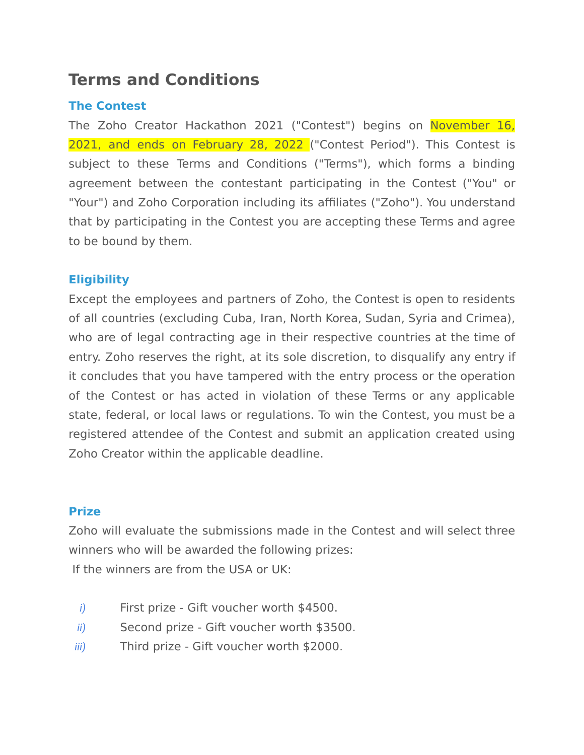# **Terms and Conditions**

## **The Contest**

The Zoho Creator Hackathon 2021 ("Contest") begins on November 16, 2021, and ends on February 28, 2022 ("Contest Period"). This Contest is subject to these Terms and Conditions ("Terms"), which forms a binding agreement between the contestant participating in the Contest ("You" or "Your") and Zoho Corporation including its affiliates ("Zoho"). You understand that by participating in the Contest you are accepting these Terms and agree to be bound by them.

## **Eligibility**

Except the employees and partners of Zoho, the Contest is open to residents of all countries (excluding Cuba, Iran, North Korea, Sudan, Syria and Crimea), who are of legal contracting age in their respective countries at the time of entry. Zoho reserves the right, at its sole discretion, to disqualify any entry if it concludes that you have tampered with the entry process or the operation of the Contest or has acted in violation of these Terms or any applicable state, federal, or local laws or regulations. To win the Contest, you must be a registered attendee of the Contest and submit an application created using Zoho Creator within the applicable deadline.

## **Prize**

Zoho will evaluate the submissions made in the Contest and will select three winners who will be awarded the following prizes: If the winners are from the USA or UK:

- *i*) First prize Gift voucher worth \$4500.
- *ii)* Second prize Gift voucher worth \$3500.
- *iii)* Third prize Gift voucher worth \$2000.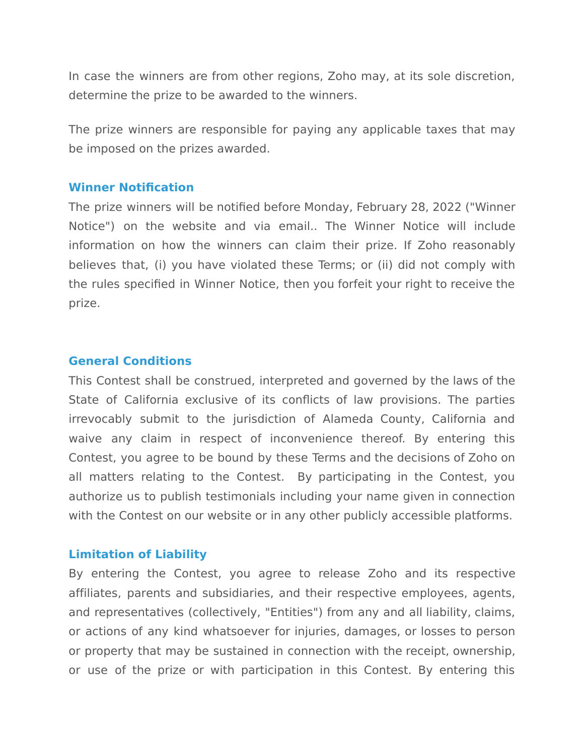In case the winners are from other regions, Zoho may, at its sole discretion, determine the prize to be awarded to the winners.

The prize winners are responsible for paying any applicable taxes that may be imposed on the prizes awarded.

#### **Winner Notification**

The prize winners will be notified before Monday, February 28, 2022 ("Winner Notice") on the website and via email.. The Winner Notice will include information on how the winners can claim their prize. If Zoho reasonably believes that, (i) you have violated these Terms; or (ii) did not comply with the rules specified in Winner Notice, then you forfeit your right to receive the prize.

#### **General Conditions**

This Contest shall be construed, interpreted and governed by the laws of the State of California exclusive of its conflicts of law provisions. The parties irrevocably submit to the jurisdiction of Alameda County, California and waive any claim in respect of inconvenience thereof. By entering this Contest, you agree to be bound by these Terms and the decisions of Zoho on all matters relating to the Contest. By participating in the Contest, you authorize us to publish testimonials including your name given in connection with the Contest on our website or in any other publicly accessible platforms.

#### **Limitation of Liability**

By entering the Contest, you agree to release Zoho and its respective affiliates, parents and subsidiaries, and their respective employees, agents, and representatives (collectively, "Entities") from any and all liability, claims, or actions of any kind whatsoever for injuries, damages, or losses to person or property that may be sustained in connection with the receipt, ownership, or use of the prize or with participation in this Contest. By entering this